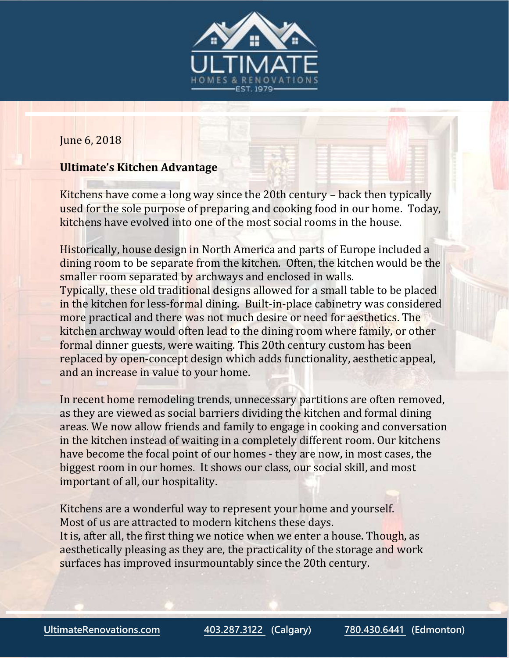

## June 6, 2018

## **Ultimate's Kitchen Advantage**

Kitchens have come a long way since the 20th century – back then typically used for the sole purpose of preparing and cooking food in our home. Today, kitchens have evolved into one of the most social rooms in the house.

Historically, house design in North America and parts of Europe included a dining room to be separate from the kitchen. Often, the kitchen would be the smaller room separated by archways and enclosed in walls. Typically, these old traditional designs allowed for a small table to be placed in the kitchen for less-formal dining. Built-in-place cabinetry was considered more practical and there was not much desire or need for aesthetics. The kitchen archway would often lead to the dining room where family, or other formal dinner guests, were waiting. This 20th century custom has been replaced by open-concept design which adds functionality, aesthetic appeal, and an increase in value to your home.

In recent home remodeling trends, unnecessary partitions are often removed, as they are viewed as social barriers dividing the kitchen and formal dining areas. We now allow friends and family to engage in cooking and conversation in the kitchen instead of waiting in a completely different room. Our kitchens have become the focal point of our homes - they are now, in most cases, the biggest room in our homes. It shows our class, our social skill, and most important of all, our hospitality.

Kitchens are a wonderful way to represent your home and yourself. Most of us are attracted to modern kitchens these days. It is, after all, the first thing we notice when we enter a house. Though, as aesthetically pleasing as they are, the practicality of the storage and work surfaces has improved insurmountably since the 20th century.